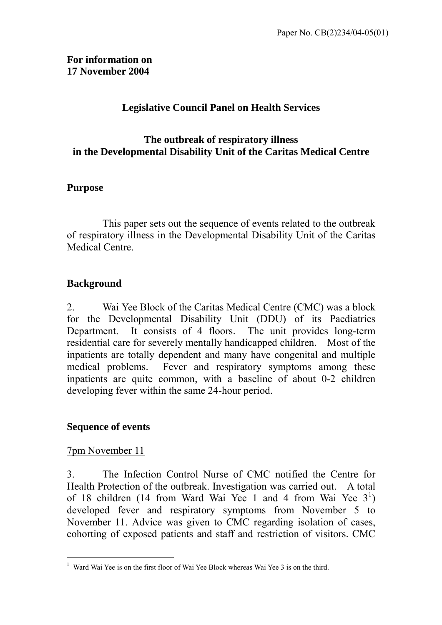### **For information on 17 November 2004**

### **Legislative Council Panel on Health Services**

#### **The outbreak of respiratory illness in the Developmental Disability Unit of the Caritas Medical Centre**

#### **Purpose**

 This paper sets out the sequence of events related to the outbreak of respiratory illness in the Developmental Disability Unit of the Caritas Medical Centre.

#### **Background**

2. Wai Yee Block of the Caritas Medical Centre (CMC) was a block for the Developmental Disability Unit (DDU) of its Paediatrics Department. It consists of 4 floors. The unit provides long-term residential care for severely mentally handicapped children. Most of the inpatients are totally dependent and many have congenital and multiple medical problems. Fever and respiratory symptoms among these inpatients are quite common, with a baseline of about 0-2 children developing fever within the same 24-hour period.

#### **Sequence of events**

#### 7pm November 11

 $\overline{a}$ 

3. The Infection Control Nurse of CMC notified the Centre for Health Protection of the outbreak. Investigation was carried out. A total of [1](#page-0-0)8 children (14 from Ward Wai Yee 1 and 4 from Wai Yee  $3<sup>1</sup>$ ) developed fever and respiratory symptoms from November 5 to November 11. Advice was given to CMC regarding isolation of cases, cohorting of exposed patients and staff and restriction of visitors. CMC

<span id="page-0-0"></span><sup>&</sup>lt;sup>1</sup> Ward Wai Yee is on the first floor of Wai Yee Block whereas Wai Yee 3 is on the third.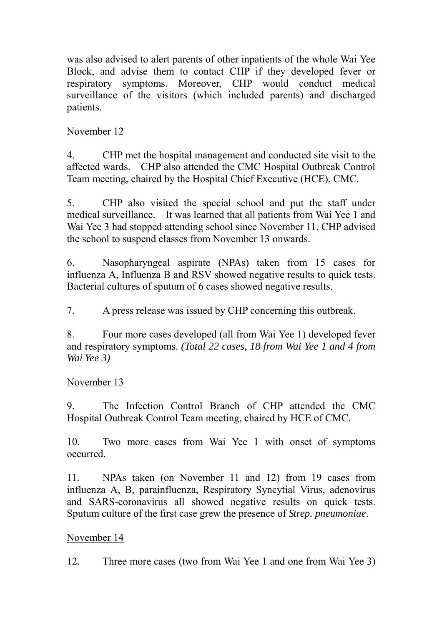was also advised to alert parents of other inpatients of the whole Wai Yee Block, and advise them to contact CHP if they developed fever or respiratory symptoms. Moreover, CHP would conduct medical surveillance of the visitors (which included parents) and discharged patients.

# November 12

4. CHP met the hospital management and conducted site visit to the affected wards. CHP also attended the CMC Hospital Outbreak Control Team meeting, chaired by the Hospital Chief Executive (HCE), CMC.

5. CHP also visited the special school and put the staff under medical surveillance. It was learned that all patients from Wai Yee 1 and Wai Yee 3 had stopped attending school since November 11. CHP advised the school to suspend classes from November 13 onwards.

6. Nasopharyngeal aspirate (NPAs) taken from 15 cases for influenza A, Influenza B and RSV showed negative results to quick tests. Bacterial cultures of sputum of 6 cases showed negative results.

7. A press release was issued by CHP concerning this outbreak.

8. Four more cases developed (all from Wai Yee 1) developed fever and respiratory symptoms. *(Total 22 cases, 18 from Wai Yee 1 and 4 from Wai Yee 3)*

# November 13

9. The Infection Control Branch of CHP attended the CMC Hospital Outbreak Control Team meeting, chaired by HCE of CMC.

10. Two more cases from Wai Yee 1 with onset of symptoms occurred.

11. NPAs taken (on November 11 and 12) from 19 cases from influenza A, B, parainfluenza, Respiratory Syncytial Virus, adenovirus and SARS-coronavirus all showed negative results on quick tests. Sputum culture of the first case grew the presence of *Strep. pneumoniae*.

### November 14

12. Three more cases (two from Wai Yee 1 and one from Wai Yee 3)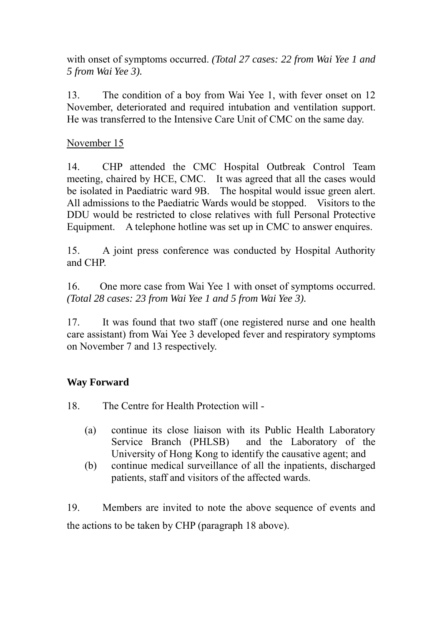with onset of symptoms occurred. *(Total 27 cases: 22 from Wai Yee 1 and 5 from Wai Yee 3).* 

13. The condition of a boy from Wai Yee 1, with fever onset on 12 November, deteriorated and required intubation and ventilation support. He was transferred to the Intensive Care Unit of CMC on the same day.

## November 15

14. CHP attended the CMC Hospital Outbreak Control Team meeting, chaired by HCE, CMC. It was agreed that all the cases would be isolated in Paediatric ward 9B. The hospital would issue green alert. All admissions to the Paediatric Wards would be stopped. Visitors to the DDU would be restricted to close relatives with full Personal Protective Equipment. A telephone hotline was set up in CMC to answer enquires.

15. A joint press conference was conducted by Hospital Authority and CHP.

16. One more case from Wai Yee 1 with onset of symptoms occurred. *(Total 28 cases: 23 from Wai Yee 1 and 5 from Wai Yee 3).* 

17. It was found that two staff (one registered nurse and one health care assistant) from Wai Yee 3 developed fever and respiratory symptoms on November 7 and 13 respectively.

# **Way Forward**

18. The Centre for Health Protection will -

- (a) continue its close liaison with its Public Health Laboratory Service Branch (PHLSB) and the Laboratory of the University of Hong Kong to identify the causative agent; and
- (b) continue medical surveillance of all the inpatients, discharged patients, staff and visitors of the affected wards.

19. Members are invited to note the above sequence of events and the actions to be taken by CHP (paragraph 18 above).